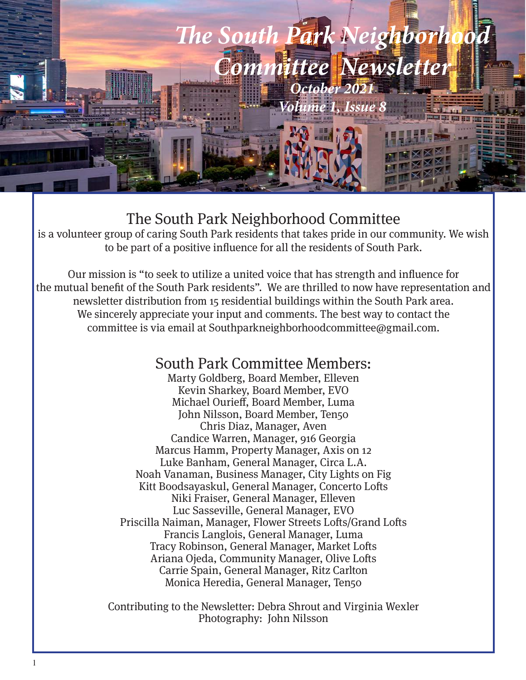

#### The South Park Neighborhood Committee

is a volunteer group of caring South Park residents that takes pride in our community. We wish to be part of a positive influence for all the residents of South Park.

Our mission is "to seek to utilize a united voice that has strength and influence for the mutual benefit of the South Park residents". We are thrilled to now have representation and newsletter distribution from 15 residential buildings within the South Park area. We sincerely appreciate your input and comments. The best way to contact the committee is via email at Southparkneighborhoodcommittee@gmail.com.

#### South Park Committee Members:

Marty Goldberg, Board Member, Elleven Kevin Sharkey, Board Member, EVO Michael Ourieff, Board Member, Luma John Nilsson, Board Member, Ten50 Chris Diaz, Manager, Aven Candice Warren, Manager, 916 Georgia Marcus Hamm, Property Manager, Axis on 12 Luke Banham, General Manager, Circa L.A. Noah Vanaman, Business Manager, City Lights on Fig Kitt Boodsayaskul, General Manager, Concerto Lofts Niki Fraiser, General Manager, Elleven Luc Sasseville, General Manager, EVO Priscilla Naiman, Manager, Flower Streets Lofts/Grand Lofts Francis Langlois, General Manager, Luma Tracy Robinson, General Manager, Market Lofts Ariana Ojeda, Community Manager, Olive Lofts Carrie Spain, General Manager, Ritz Carlton Monica Heredia, General Manager, Ten50

Contributing to the Newsletter: Debra Shrout and Virginia Wexler Photography: John Nilsson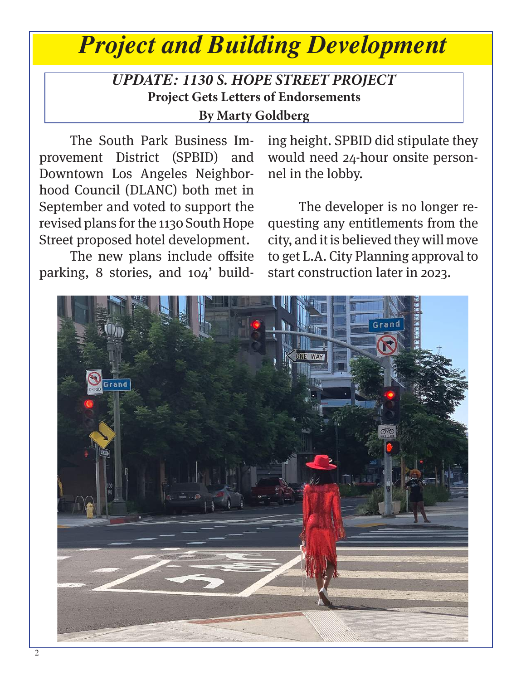# *Project and Building Development*

#### *UPDATE: 1130 S. HOPE STREET PROJECT* **Project Gets Letters of Endorsements By Marty Goldberg**

The South Park Business Improvement District (SPBID) and Downtown Los Angeles Neighborhood Council (DLANC) both met in September and voted to support the revised plans for the 1130 South Hope Street proposed hotel development.

The new plans include offsite parking, 8 stories, and 104' building height. SPBID did stipulate they would need 24-hour onsite personnel in the lobby.

The developer is no longer requesting any entitlements from the city, and it is believed they will move to get L.A. City Planning approval to start construction later in 2023.

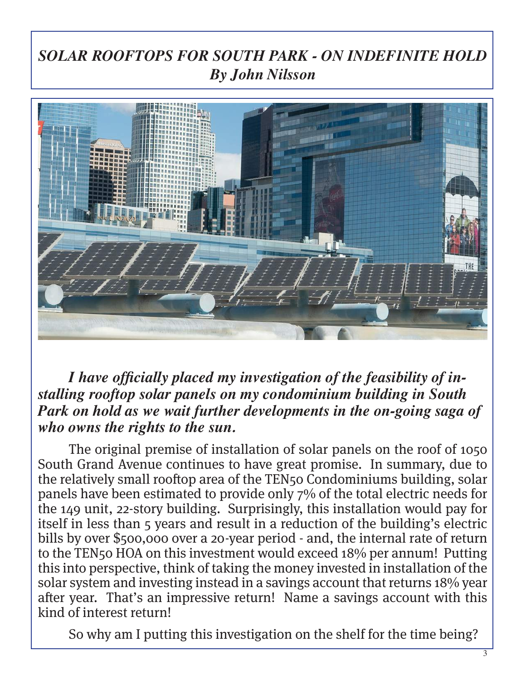## *SOLAR ROOFTOPS FOR SOUTH PARK - ON INDEFINITE HOLD By John Nilsson*



*I have officially placed my investigation of the feasibility of installing rooftop solar panels on my condominium building in South Park on hold as we wait further developments in the on-going saga of who owns the rights to the sun.*

The original premise of installation of solar panels on the roof of 1050 South Grand Avenue continues to have great promise. In summary, due to the relatively small rooftop area of the TEN50 Condominiums building, solar panels have been estimated to provide only 7% of the total electric needs for the 149 unit, 22-story building. Surprisingly, this installation would pay for itself in less than 5 years and result in a reduction of the building's electric bills by over \$500,000 over a 20-year period - and, the internal rate of return to the TEN50 HOA on this investment would exceed 18% per annum! Putting this into perspective, think of taking the money invested in installation of the solar system and investing instead in a savings account that returns 18% year after year. That's an impressive return! Name a savings account with this kind of interest return!

So why am I putting this investigation on the shelf for the time being?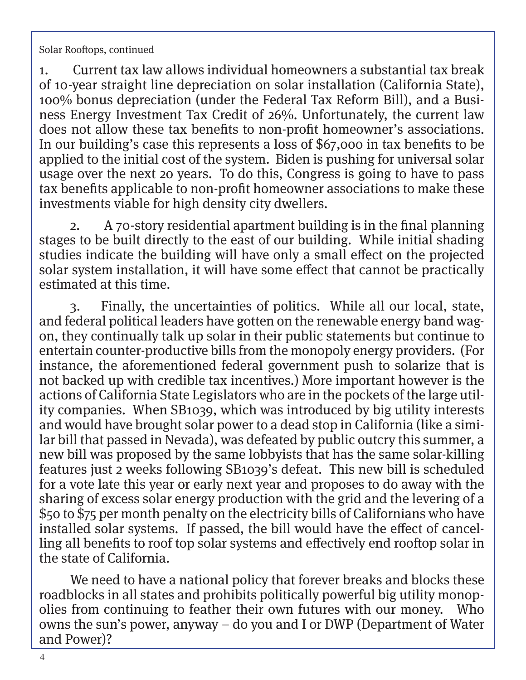Solar Rooftops, continued

1. Current tax law allows individual homeowners a substantial tax break of 10-year straight line depreciation on solar installation (California State), 100% bonus depreciation (under the Federal Tax Reform Bill), and a Business Energy Investment Tax Credit of 26%. Unfortunately, the current law does not allow these tax benefits to non-profit homeowner's associations. In our building's case this represents a loss of \$67,000 in tax benefits to be applied to the initial cost of the system. Biden is pushing for universal solar usage over the next 20 years. To do this, Congress is going to have to pass tax benefits applicable to non-profit homeowner associations to make these investments viable for high density city dwellers.

2. A 70-story residential apartment building is in the final planning stages to be built directly to the east of our building. While initial shading studies indicate the building will have only a small effect on the projected solar system installation, it will have some effect that cannot be practically estimated at this time.

3. Finally, the uncertainties of politics. While all our local, state, and federal political leaders have gotten on the renewable energy band wagon, they continually talk up solar in their public statements but continue to entertain counter-productive bills from the monopoly energy providers. (For instance, the aforementioned federal government push to solarize that is not backed up with credible tax incentives.) More important however is the actions of California State Legislators who are in the pockets of the large utility companies. When SB1039, which was introduced by big utility interests and would have brought solar power to a dead stop in California (like a similar bill that passed in Nevada), was defeated by public outcry this summer, a new bill was proposed by the same lobbyists that has the same solar-killing features just 2 weeks following SB1039's defeat. This new bill is scheduled for a vote late this year or early next year and proposes to do away with the sharing of excess solar energy production with the grid and the levering of a \$50 to \$75 per month penalty on the electricity bills of Californians who have installed solar systems. If passed, the bill would have the effect of cancelling all benefits to roof top solar systems and effectively end rooftop solar in the state of California.

We need to have a national policy that forever breaks and blocks these roadblocks in all states and prohibits politically powerful big utility monopolies from continuing to feather their own futures with our money. Who owns the sun's power, anyway – do you and I or DWP (Department of Water and Power)?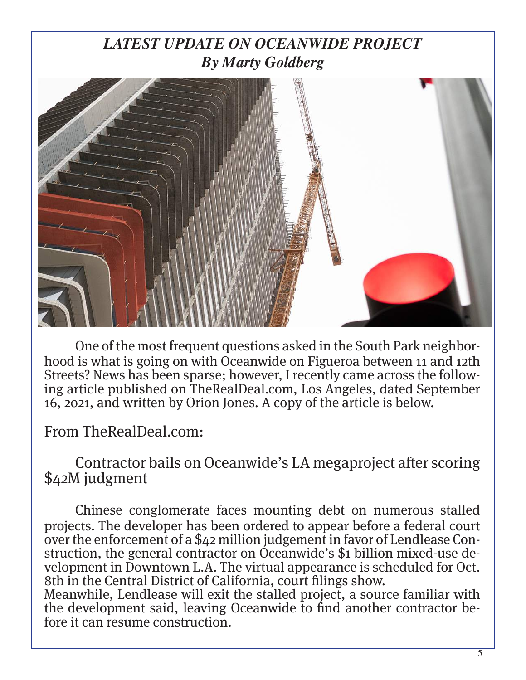## *LATEST UPDATE ON OCEANWIDE PROJECT By Marty Goldberg*



One of the most frequent questions asked in the South Park neighborhood is what is going on with Oceanwide on Figueroa between 11 and 12th Streets? News has been sparse; however, I recently came across the following article published on TheRealDeal.com, Los Angeles, dated September 16, 2021, and written by Orion Jones. A copy of the article is below.

From TheRealDeal.com:

Contractor bails on Oceanwide's LA megaproject after scoring \$42M judgment

Chinese conglomerate faces mounting debt on numerous stalled projects. The developer has been ordered to appear before a federal court over the enforcement of a \$42 million judgement in favor of Lendlease Construction, the general contractor on Oceanwide's \$1 billion mixed-use development in Downtown L.A. The virtual appearance is scheduled for Oct. 8th in the Central District of California, court filings show.

Meanwhile, Lendlease will exit the stalled project, a source familiar with the development said, leaving Oceanwide to find another contractor be- fore it can resume construction.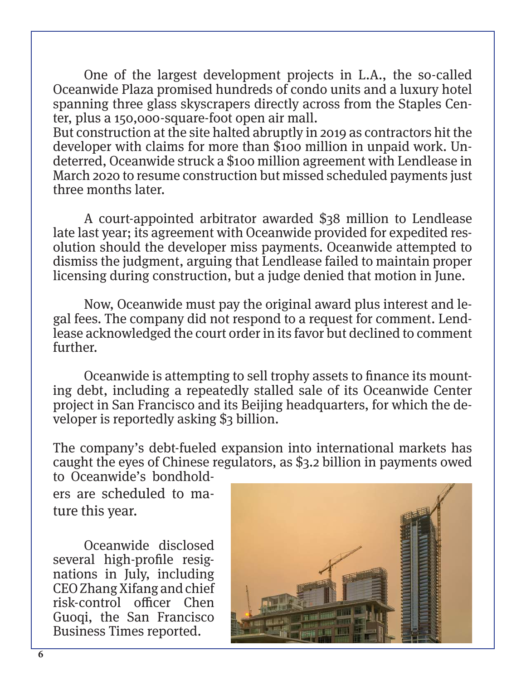One of the largest development projects in L.A., the so-called Oceanwide Plaza promised hundreds of condo units and a luxury hotel spanning three glass skyscrapers directly across from the Staples Center, plus a 150,000-square-foot open air mall.

But construction at the site halted abruptly in 2019 as contractors hit the developer with claims for more than \$100 million in unpaid work. Undeterred, Oceanwide struck a \$100 million agreement with Lendlease in March 2020 to resume construction but missed scheduled payments just three months later.

A court-appointed arbitrator awarded \$38 million to Lendlease late last year; its agreement with Oceanwide provided for expedited resolution should the developer miss payments. Oceanwide attempted to dismiss the judgment, arguing that Lendlease failed to maintain proper licensing during construction, but a judge denied that motion in June.

Now, Oceanwide must pay the original award plus interest and legal fees. The company did not respond to a request for comment. Lendlease acknowledged the court order in its favor but declined to comment further.

Oceanwide is attempting to sell trophy assets to finance its mounting debt, including a repeatedly stalled sale of its Oceanwide Center project in San Francisco and its Beijing headquarters, for which the developer is reportedly asking \$3 billion.

The company's debt-fueled expansion into international markets has caught the eyes of Chinese regulators, as \$3.2 billion in payments owed to Oceanwide's bondhold-

ers are scheduled to mature this year.

Oceanwide disclosed several high-profile resignations in July, including CEO Zhang Xifang and chief risk-control officer Chen Guoqi, the San Francisco Business Times reported.

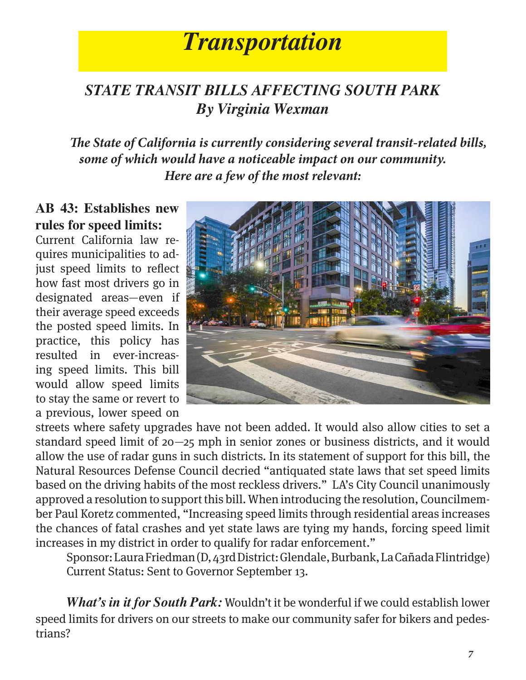## *Transportation*

### *STATE TRANSIT BILLS AFFECTING SOUTH PARK By Virginia Wexman*

*The State of California is currently considering several transit-related bills, some of which would have a noticeable impact on our community. Here are a few of the most relevant:*

#### **AB 43: Establishes new rules for speed limits:**

Current California law requires municipalities to adjust speed limits to reflect how fast most drivers go in designated areas—even if their average speed exceeds the posted speed limits. In practice, this policy has resulted in ever-increasing speed limits. This bill would allow speed limits to stay the same or revert to a previous, lower speed on



streets where safety upgrades have not been added. It would also allow cities to set a standard speed limit of 20—25 mph in senior zones or business districts, and it would allow the use of radar guns in such districts. In its statement of support for this bill, the Natural Resources Defense Council decried "antiquated state laws that set speed limits based on the driving habits of the most reckless drivers." LA's City Council unanimously approved a resolution to support this bill. When introducing the resolution, Councilmember Paul Koretz commented, "Increasing speed limits through residential areas increases the chances of fatal crashes and yet state laws are tying my hands, forcing speed limit increases in my district in order to qualify for radar enforcement."

Sponsor: Laura Friedman (D, 43rd District: Glendale, Burbank, La Cañada Flintridge) Current Status: Sent to Governor September 13.

*What's in it for South Park:* Wouldn't it be wonderful if we could establish lower speed limits for drivers on our streets to make our community safer for bikers and pedestrians?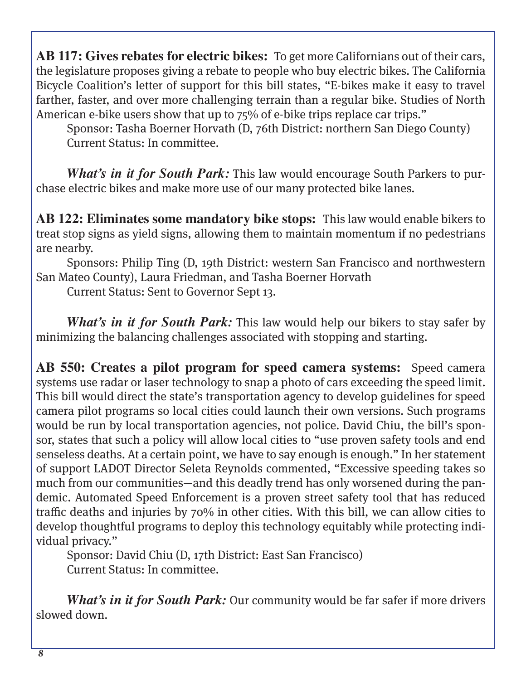**AB 117: Gives rebates for electric bikes:** To get more Californians out of their cars, the legislature proposes giving a rebate to people who buy electric bikes. The California Bicycle Coalition's letter of support for this bill states, "E-bikes make it easy to travel farther, faster, and over more challenging terrain than a regular bike. Studies of North American e-bike users show that up to 75% of e-bike trips replace car trips."

Sponsor: Tasha Boerner Horvath (D, 76th District: northern San Diego County) Current Status: In committee.

*What's in it for South Park:* This law would encourage South Parkers to purchase electric bikes and make more use of our many protected bike lanes.

**AB 122: Eliminates some mandatory bike stops:** This law would enable bikers to treat stop signs as yield signs, allowing them to maintain momentum if no pedestrians are nearby.

Sponsors: Philip Ting (D, 19th District: western San Francisco and northwestern San Mateo County), Laura Friedman, and Tasha Boerner Horvath

Current Status: Sent to Governor Sept 13.

*What's in it for South Park:* This law would help our bikers to stay safer by minimizing the balancing challenges associated with stopping and starting.

**AB 550: Creates a pilot program for speed camera systems:** Speed camera systems use radar or laser technology to snap a photo of cars exceeding the speed limit. This bill would direct the state's transportation agency to develop guidelines for speed camera pilot programs so local cities could launch their own versions. Such programs would be run by local transportation agencies, not police. David Chiu, the bill's sponsor, states that such a policy will allow local cities to "use proven safety tools and end senseless deaths. At a certain point, we have to say enough is enough." In her statement of support LADOT Director Seleta Reynolds commented, "Excessive speeding takes so much from our communities—and this deadly trend has only worsened during the pandemic. Automated Speed Enforcement is a proven street safety tool that has reduced traffic deaths and injuries by 70% in other cities. With this bill, we can allow cities to develop thoughtful programs to deploy this technology equitably while protecting individual privacy."

Sponsor: David Chiu (D, 17th District: East San Francisco) Current Status: In committee.

*What's in it for South Park:* Our community would be far safer if more drivers slowed down.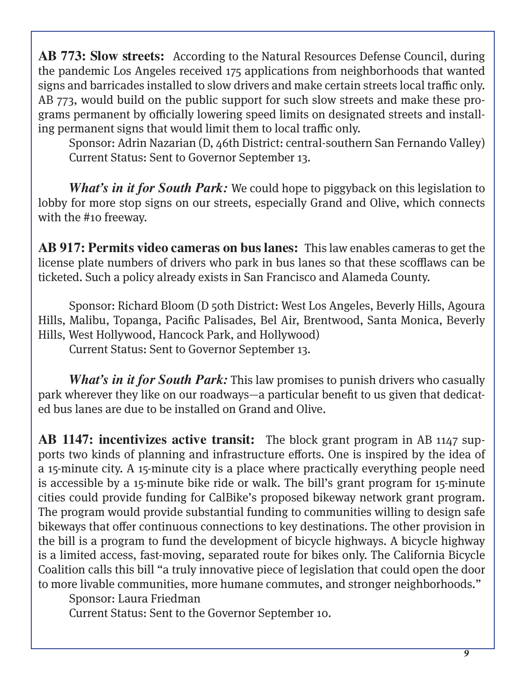**AB 773: Slow streets:** According to the Natural Resources Defense Council, during the pandemic Los Angeles received 175 applications from neighborhoods that wanted signs and barricades installed to slow drivers and make certain streets local traffic only. AB 773, would build on the public support for such slow streets and make these programs permanent by officially lowering speed limits on designated streets and installing permanent signs that would limit them to local traffic only.

Sponsor: Adrin Nazarian (D, 46th District: central-southern San Fernando Valley) Current Status: Sent to Governor September 13.

*What's in it for South Park:* We could hope to piggyback on this legislation to lobby for more stop signs on our streets, especially Grand and Olive, which connects with the #10 freeway.

**AB 917: Permits video cameras on bus lanes:** This law enables cameras to get the license plate numbers of drivers who park in bus lanes so that these scofflaws can be ticketed. Such a policy already exists in San Francisco and Alameda County.

Sponsor: Richard Bloom (D 50th District: West Los Angeles, Beverly Hills, Agoura Hills, Malibu, Topanga, Pacific Palisades, Bel Air, Brentwood, Santa Monica, Beverly Hills, West Hollywood, Hancock Park, and Hollywood)

Current Status: Sent to Governor September 13.

*What's in it for South Park:* This law promises to punish drivers who casually park wherever they like on our roadways—a particular benefit to us given that dedicated bus lanes are due to be installed on Grand and Olive.

**AB 1147: incentivizes active transit:** The block grant program in AB 1147 supports two kinds of planning and infrastructure efforts. One is inspired by the idea of a 15-minute city. A 15-minute city is a place where practically everything people need is accessible by a 15-minute bike ride or walk. The bill's grant program for 15-minute cities could provide funding for CalBike's proposed bikeway network grant program. The program would provide substantial funding to communities willing to design safe bikeways that offer continuous connections to key destinations. The other provision in the bill is a program to fund the development of bicycle highways. A bicycle highway is a limited access, fast-moving, separated route for bikes only. The California Bicycle Coalition calls this bill "a truly innovative piece of legislation that could open the door to more livable communities, more humane commutes, and stronger neighborhoods."

Sponsor: Laura Friedman

Current Status: Sent to the Governor September 10.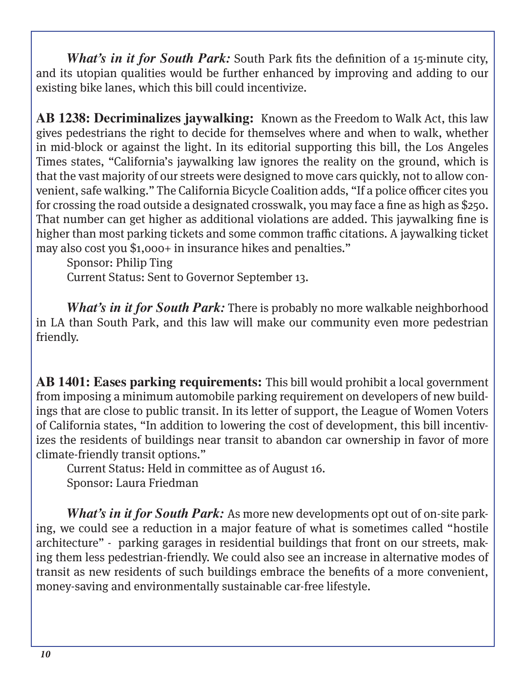*What's in it for South Park:* South Park fits the definition of a 15-minute city, and its utopian qualities would be further enhanced by improving and adding to our existing bike lanes, which this bill could incentivize.

**AB 1238: Decriminalizes jaywalking:** Known as the Freedom to Walk Act, this law gives pedestrians the right to decide for themselves where and when to walk, whether in mid-block or against the light. In its editorial supporting this bill, the Los Angeles Times states, "California's jaywalking law ignores the reality on the ground, which is that the vast majority of our streets were designed to move cars quickly, not to allow convenient, safe walking." The California Bicycle Coalition adds, "If a police officer cites you for crossing the road outside a designated crosswalk, you may face a fine as high as \$250. That number can get higher as additional violations are added. This jaywalking fine is higher than most parking tickets and some common traffic citations. A jaywalking ticket may also cost you \$1,000+ in insurance hikes and penalties."

Sponsor: Philip Ting

Current Status: Sent to Governor September 13.

*What's in it for South Park:* There is probably no more walkable neighborhood in LA than South Park, and this law will make our community even more pedestrian friendly.

**AB 1401: Eases parking requirements:** This bill would prohibit a local government from imposing a minimum automobile parking requirement on developers of new buildings that are close to public transit. In its letter of support, the League of Women Voters of California states, "In addition to lowering the cost of development, this bill incentivizes the residents of buildings near transit to abandon car ownership in favor of more climate-friendly transit options."

Current Status: Held in committee as of August 16. Sponsor: Laura Friedman

*What's in it for South Park:* As more new developments opt out of on-site parking, we could see a reduction in a major feature of what is sometimes called "hostile architecture" - parking garages in residential buildings that front on our streets, making them less pedestrian-friendly. We could also see an increase in alternative modes of transit as new residents of such buildings embrace the benefits of a more convenient, money-saving and environmentally sustainable car-free lifestyle.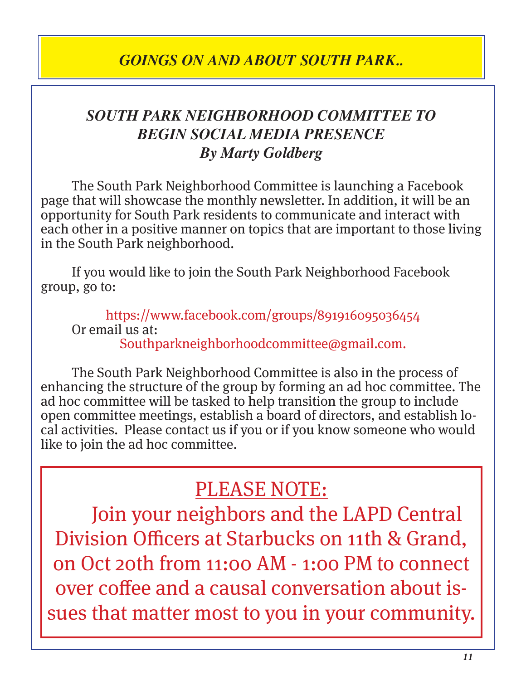### *GOINGS ON AND ABOUT SOUTH PARK..*

### *SOUTH PARK NEIGHBORHOOD COMMITTEE TO BEGIN SOCIAL MEDIA PRESENCE By Marty Goldberg*

The South Park Neighborhood Committee is launching a Facebook page that will showcase the monthly newsletter. In addition, it will be an opportunity for South Park residents to communicate and interact with each other in a positive manner on topics that are important to those living in the South Park neighborhood.

If you would like to join the South Park Neighborhood Facebook group, go to:

https://www.facebook.com/groups/891916095036454 Or email us at: Southparkneighborhoodcommittee@gmail.com.

The South Park Neighborhood Committee is also in the process of enhancing the structure of the group by forming an ad hoc committee. The ad hoc committee will be tasked to help transition the group to include open committee meetings, establish a board of directors, and establish local activities. Please contact us if you or if you know someone who would like to join the ad hoc committee.

## PLEASE NOTE:

Join your neighbors and the LAPD Central Division Officers at Starbucks on 11th & Grand, on Oct 20th from 11:00 AM - 1:00 PM to connect over coffee and a causal conversation about issues that matter most to you in your community.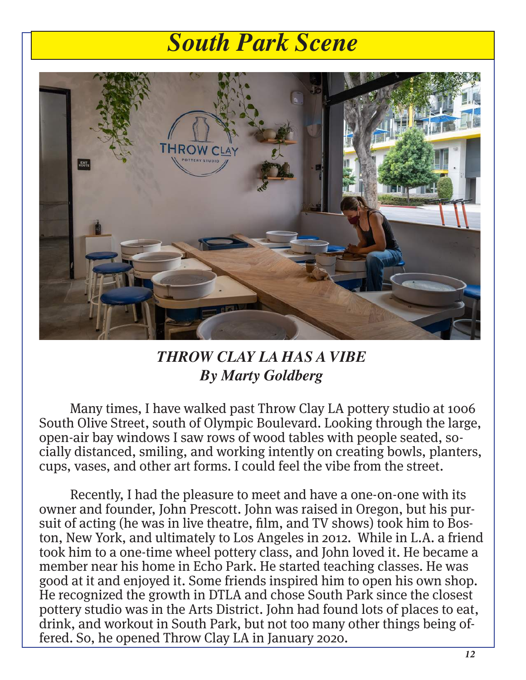## *South Park Scene*



### *THROW CLAY LA HAS A VIBE By Marty Goldberg*

Many times, I have walked past Throw Clay LA pottery studio at 1006 South Olive Street, south of Olympic Boulevard. Looking through the large, open-air bay windows I saw rows of wood tables with people seated, socially distanced, smiling, and working intently on creating bowls, planters, cups, vases, and other art forms. I could feel the vibe from the street.

Recently, I had the pleasure to meet and have a one-on-one with its owner and founder, John Prescott. John was raised in Oregon, but his pursuit of acting (he was in live theatre, film, and TV shows) took him to Boston, New York, and ultimately to Los Angeles in 2012. While in L.A. a friend took him to a one-time wheel pottery class, and John loved it. He became a member near his home in Echo Park. He started teaching classes. He was good at it and enjoyed it. Some friends inspired him to open his own shop. He recognized the growth in DTLA and chose South Park since the closest pottery studio was in the Arts District. John had found lots of places to eat, drink, and workout in South Park, but not too many other things being offered. So, he opened Throw Clay LA in January 2020.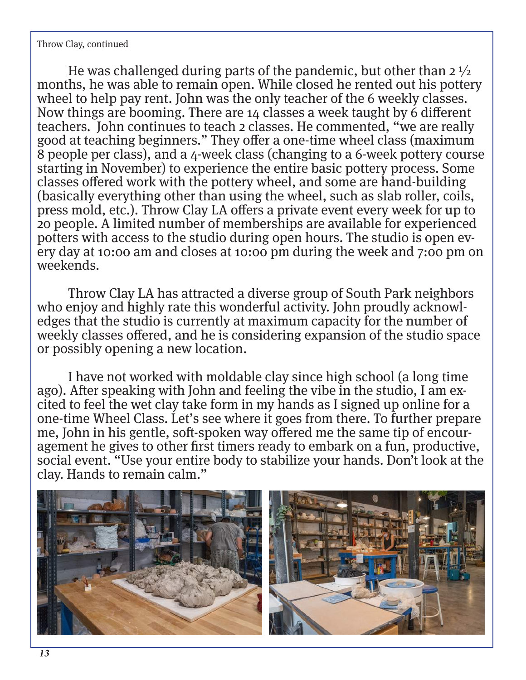Throw Clay, continued

He was challenged during parts of the pandemic, but other than  $2\frac{1}{2}$ months, he was able to remain open. While closed he rented out his pottery wheel to help pay rent. John was the only teacher of the 6 weekly classes. Now things are booming. There are 14 classes a week taught by 6 different teachers. John continues to teach 2 classes. He commented, "we are really good at teaching beginners." They offer a one-time wheel class (maximum 8 people per class), and a 4-week class (changing to a 6-week pottery course starting in November) to experience the entire basic pottery process. Some classes offered work with the pottery wheel, and some are hand-building (basically everything other than using the wheel, such as slab roller, coils, press mold, etc.). Throw Clay LA offers a private event every week for up to 20 people. A limited number of memberships are available for experienced potters with access to the studio during open hours. The studio is open every day at 10:00 am and closes at 10:00 pm during the week and 7:00 pm on weekends.

Throw Clay LA has attracted a diverse group of South Park neighbors who enjoy and highly rate this wonderful activity. John proudly acknowledges that the studio is currently at maximum capacity for the number of weekly classes offered, and he is considering expansion of the studio space or possibly opening a new location.

I have not worked with moldable clay since high school (a long time ago). After speaking with John and feeling the vibe in the studio, I am excited to feel the wet clay take form in my hands as I signed up online for a one-time Wheel Class. Let's see where it goes from there. To further prepare me, John in his gentle, soft-spoken way offered me the same tip of encouragement he gives to other first timers ready to embark on a fun, productive, social event. "Use your entire body to stabilize your hands. Don't look at the clay. Hands to remain calm."

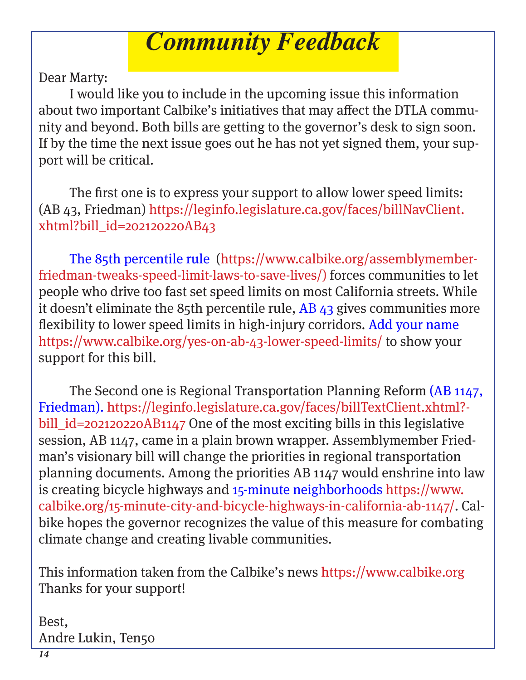## *Community Feedback*

Dear Marty:

I would like you to include in the upcoming issue this information about two important Calbike's initiatives that may affect the DTLA community and beyond. Both bills are getting to the governor's desk to sign soon. If by the time the next issue goes out he has not yet signed them, your support will be critical.

The first one is to express your support to allow lower speed limits: (AB 43, Friedman) https://leginfo.legislature.ca.gov/faces/billNavClient. xhtml?bill\_id=202120220AB43

The 85th percentile rule (https://www.calbike.org/assemblymemberfriedman-tweaks-speed-limit-laws-to-save-lives/) forces communities to let people who drive too fast set speed limits on most California streets. While it doesn't eliminate the 85th percentile rule,  $AB$  43 gives communities more flexibility to lower speed limits in high-injury corridors. Add your name https://www.calbike.org/yes-on-ab-43-lower-speed-limits/ to show your support for this bill.

The Second one is Regional Transportation Planning Reform (AB 1147, Friedman). https://leginfo.legislature.ca.gov/faces/billTextClient.xhtml? bill\_id=202120220AB1147 One of the most exciting bills in this legislative session, AB 1147, came in a plain brown wrapper. Assemblymember Friedman's visionary bill will change the priorities in regional transportation planning documents. Among the priorities AB 1147 would enshrine into law is creating bicycle highways and 15-minute neighborhoods https://www. calbike.org/15-minute-city-and-bicycle-highways-in-california-ab-1147/. Calbike hopes the governor recognizes the value of this measure for combating climate change and creating livable communities.

This information taken from the Calbike's news https://www.calbike.org Thanks for your support!

Best, Andre Lukin, Ten50